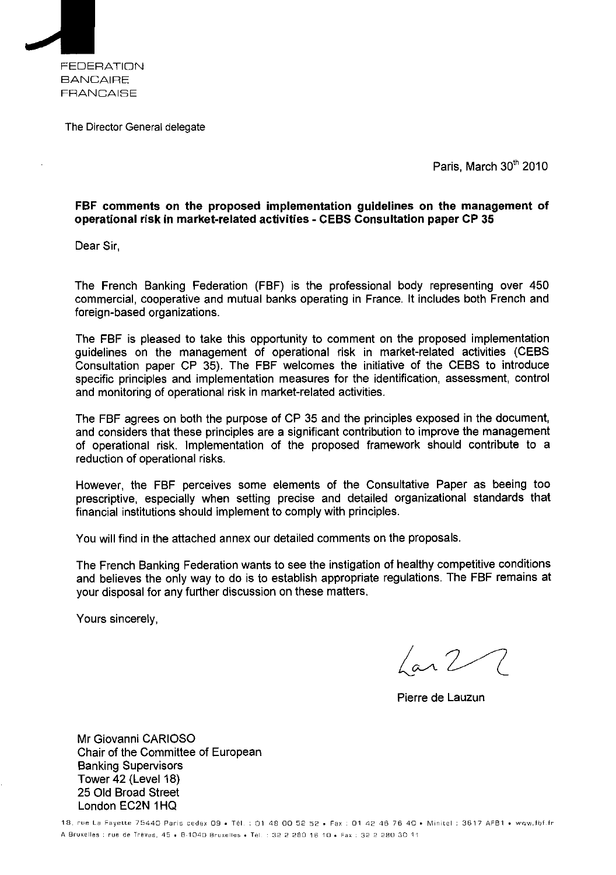

The Director General delegate

Paris, March 30th 2010

#### **FBF comments on the proposed implementation guidelines on the management of operational risk in market**-**related activities - CEBS Consulta tion paper CP 35**

Dear Sir,

The French Banking Federation (FBF) is the professional body representing over 450 commercial, cooperative and mutual banks operating in France. It includes both French and foreign-based organizations.

The FBF is pleased to take this opportunity to comment on the proposed implementation guidelines on the management of operational risk in market-related activities (CEBS Consultation paper CP 35). The FBF welcomes the initiative of the CEBS to introduce specific principles and implementation measures for the identification, assessment, control and monitoring of operational risk in market-related activities.

The FBF agrees on both the purpose of CP 35 and the principles exposed in the document, and considers that these principles are a significant contribution to improve the management of operational risk. Implementation of the proposed framework should contribute to a reduction of operational risks.

However, the FBF perceives some elements of the Consultative Paper as beeing too prescriptive, especially when setting precise and detailed organizational standards that financial institutions should implement to comply with principles.

You will find in the attached annex our detailed comments on the proposals.

The French Banking Federation wants to see the instigation of healthy competitive conditions and believes the only way to do is to establish appropriate regulations. The FBF remains at your disposal for any further discussion on these matters.

Yours sincerely,

Lar 2

Pierre de Lauzun

Mr Giovanni CARIOSO Chair of the Committee of European Banking Supervisors Tower 42 (Level 18) 25 Old Broad Street London EC2N 1HQ

18, rue La Fayette 75440 Paris cedex 09 • Tél. : 01 48 00 52 52 • Fax : 01 42 46 76 40 • Minitel 3617 AFB1 • www.fbf. fr A Bruxelles : rue de Tréves, 45 • B-1040 Bruxelles • Tél. : 32 2 280 16 10 • Fax : 32 2 280 30 11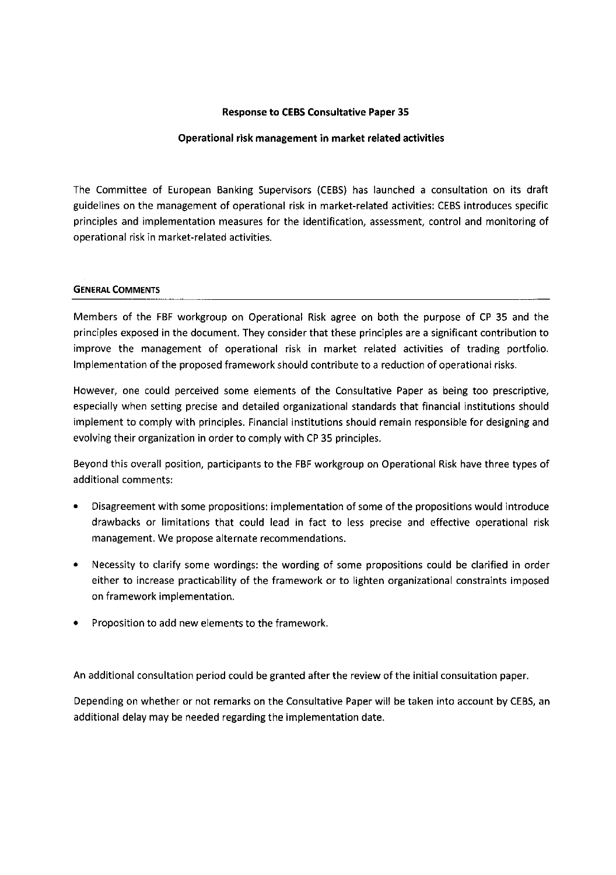#### Response to CEBS Consultative Paper 35

#### Operational risk management in market related activities

The Committee of European Banking Supervisors (CEBS) has launched a consultation on its draft guidelines on the management of operational risk in market-related activities: CEBS introduces specific principles and implementation measures for the identification, assessment, control and monitoring of operational risk in market-related activities.

#### **GENERAL COMMENTS**

Members of the FBF workgroup on Operational Risk agree on both the purpose of CP 35 and the principles exposed in the document. They consider that these principles are a significant contribution to improve the management of operational risk in market related activities of trading portfolio. Implementation of the proposed framework should contribute to a reduction of operational risks.

However, one could perceived some elements of the Consultative Paper as being too prescriptive, especially when setting precise and detailed organizational standards that financial institutions should implement to comply with principles. Financial institutions should remain responsible for designing and evolving their organization in order to comply with CP 35 principles.

Beyond this overall position, participants to the FBF workgroup on Operational Risk have three types of additional comments:

- Disagreement with some propositions: implementation of some of the propositions would introduce drawbacks or limitations that could lead in fact to less precise and effective operational risk management. We propose alternate recommendations.
- Necessity to clarify some wordings: the wording of some propositions could be clarified in order either to increase practicability of the framework or to lighten organizational constraints imposed on framework implementation.
- Proposition to add new elements to the framework.

An additional consultation period could be granted after the review of the initial consultation paper.

Depending on whether or not remarks on the Consultative Paper will be taken into account by CEBS, an additional delay may be needed regarding the implementation date.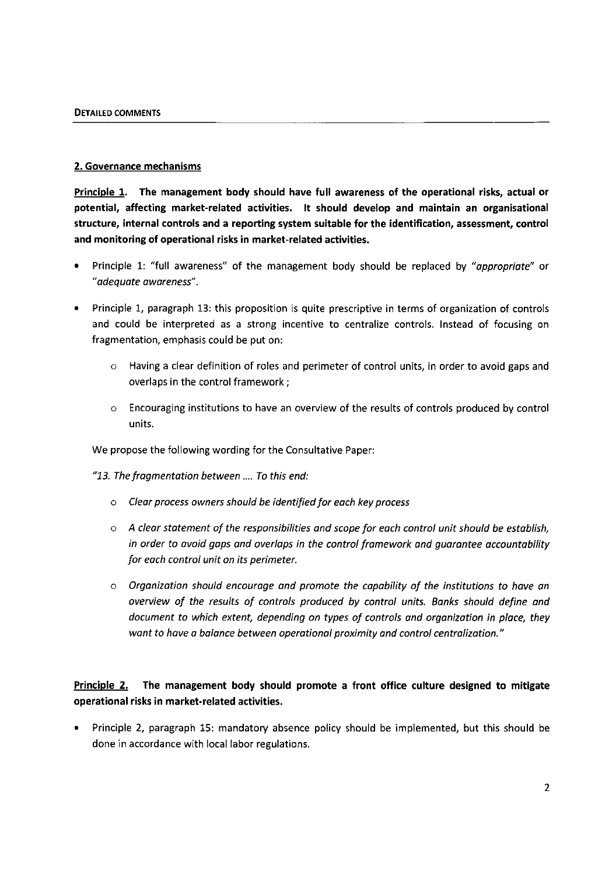#### 2. Governance mechanisms

Principle 1. The management body should have full awareness of the operational risks, actual or potential, affecting market-related activities. It should develop and maintain an organisational structure, internal controls and a reporting system suitable for the identification, assessment, control and monitoring of operational risks in market-related activities.

- Principle 1: "full awareness" of the management body should be replaced by *"appropriate"* or *"adequate awareness".*
- Principle 1, paragraph 13: this proposition is quite prescriptive in terms of organization of controls and could be interpreted as a strong incentive to centralize controls. Instead of focusing on fragmentation, emphasis could be put on:
	- o Having a clear definition of roles and perimeter of control units, in order to avoid gaps and overlaps in the control framework ;
	- o Encouraging institutions to have an overview of the results of controls produced by control units.

We propose the following wording for the Consultative Paper:

*"13. The fragmentation between .... To this end:*

- *o Clear process owners should be identified for each key process*
- *o A clear statement of the responsibilities and scope for each control unit should be establish, in order to avoid gaps and overlaps in the control framework and guarantee accountability for each control unit on its perimeter.*
- *o Organization should encourage and promote the capability of the institutions to have an overview of the results of controls produced by control units. Banks should define and document to which extent, depending on types of controls and organization in place, they want to have a balance between operational proximity and control centralization."*

# Principle 2. The management body should promote a front office culture designed to mitigate operational risks in market-related activities.

• Principle 2, paragraph 15: mandatory absence policy should be implemented, but this should be done in accordance with local labor regulations.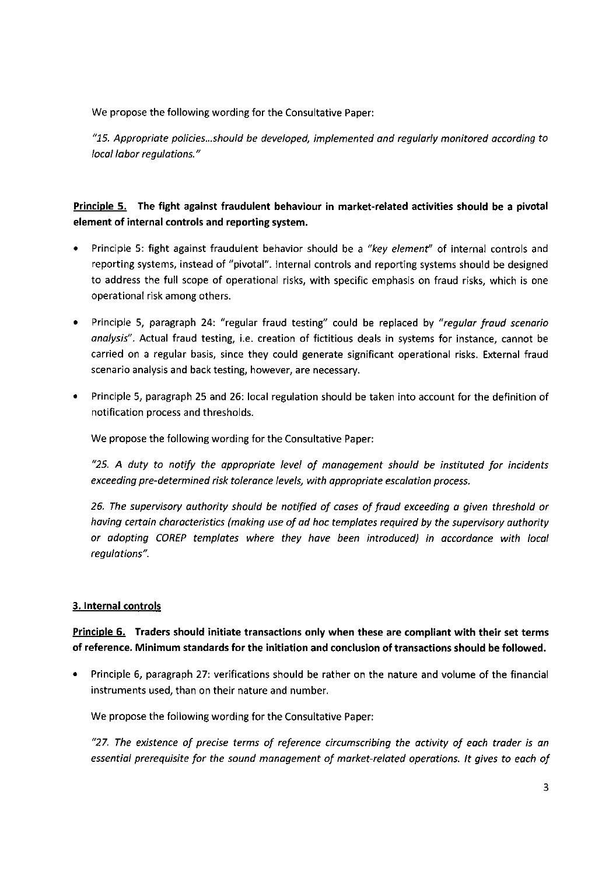We propose the following wording for the Consultative Paper:

*"15. Appropriate policies...should be developed, implemented and regularly monitored according to local labor regulations."*

# Principle 5. The fight against fraudulent behaviour in market-related activities should be a pivotal element of internal controls and reporting system.

- Principle 5: fight against fraudulent behavior should be *a "key element"* of internal controls and reporting systems, instead of "pivotal". Internal controls and reporting systems should be designed to address the full scope of operational risks, with specific emphasis on fraud risks, which is one operational risk among others.
- Principle 5, paragraph 24: "regular fraud testing" could be replaced by *"regular fraud scenario analysis".* Actual fraud testing, i.e. creation of fictitious deals in systems for instance, cannot be carried on a regular basis, since they could generate significant operational risks. External fraud scenario analysis and back testing, however, are necessary.
- Principle 5, paragraph 25 and 26: local regulation should be taken into account for the definition of notification process and thresholds.

We propose the following wording for the Consultative Paper:

*"25. A duty to notify the appropriate level of management should be instituted for incidents exceeding pre-determined risk tolerance levels, with appropriate escalation process.*

*26. The supervisory authority should be notified of cases of fraud exceeding a given threshold or having certain characteristics (making use of ad hoc templates required by the supervisory authority or adopting COREP templates where they have been introduced) in accordance with local regulations".*

#### 3. Internal controls

#### Principle 6. Traders should initiate transactions only when these are compliant with their set terms of reference. Minimum standards for the initiation and conclusion of transactions should be followed.

• Principle 6, paragraph 27: verifications should be rather on the nature and volume of the financial instruments used, than on their nature and number.

We propose the following wording for the Consultative Paper:

*"27. The existence of precise terms of reference circumscribing the activity of each trader is an essential prerequisite for the sound management of market-related operations. It gives to each of*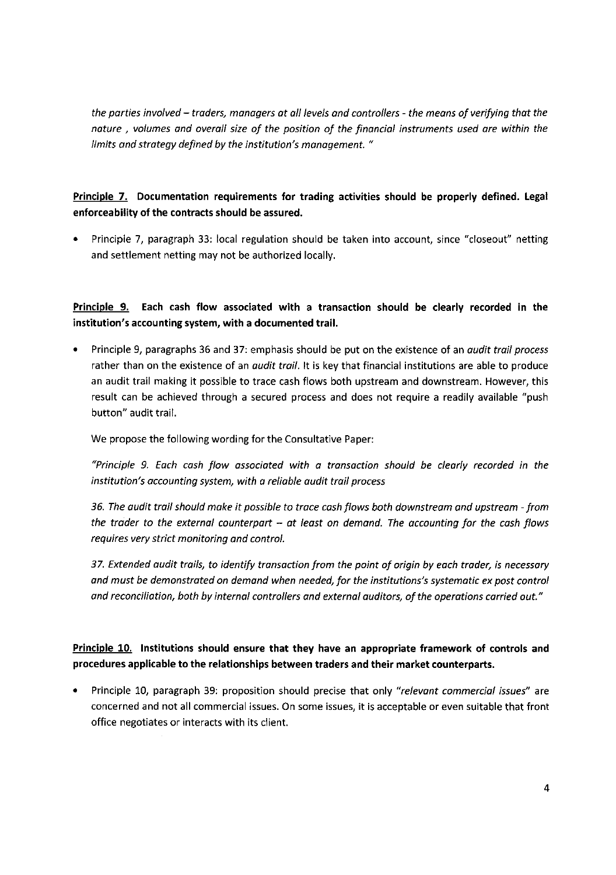the parties involved — traders, managers at all levels and controllers - the means of verifying that the nature , volumes and overall size of the position of the financial instruments used are within the limits and strategy defined by the institution's management. "

# Principle 7. Documentation requirements for trading activities should be properly defined. Legal enforceability of the contracts should be assured.

• Principle 7, paragraph 33: local regulation should be taken into account, since "closeout" netting and settlement netting may not be authorized locally.

Principle 9. Each cash flow associated with a transaction should be clearly recorded in the institution's accounting system, with a documented trail.

Principle 9, paragraphs 36 and 37: emphasis should be put on the existence of an *audit trail process* rather than on the existence of an *audit trail*. It is key that financial institutions are able to produce an audit trail making it possible to trace cash flows both upstream and downstream. However, this result can be achieved through a secured process and does not require a readily available "push button" audit trail.

We propose the following wording for the Consultative Paper:

"Principle 9. Each cash flow associated with a transaction should be clearly recorded in the institution's accounting system, with a reliable audit trail process

36. The audit trail should make it possible to trace cash flows both downstream and upstream - from the trader to the external counterpart — at least on demand. The accounting for the cash flows requires very strict monitoring and control.

37. Extended audit trails, to identify transaction from the point of origin by each trader, is necessary and must be demonstrated on demand when needed, for the institutions's systematic ex post control and reconciliation, both by internal controllers and external auditors, of the operations carried out."

# Principle 10. Institutions should ensure that they have an appropriate framework of controls and procedures applicable to the relationships between traders and their market counterparts.

Principle 10, paragraph 39: proposition should precise that only "relevant commercial issues" are concerned and not all commercial issues. On some issues, it is acceptable or even suitable that front office negotiates or interacts with its client.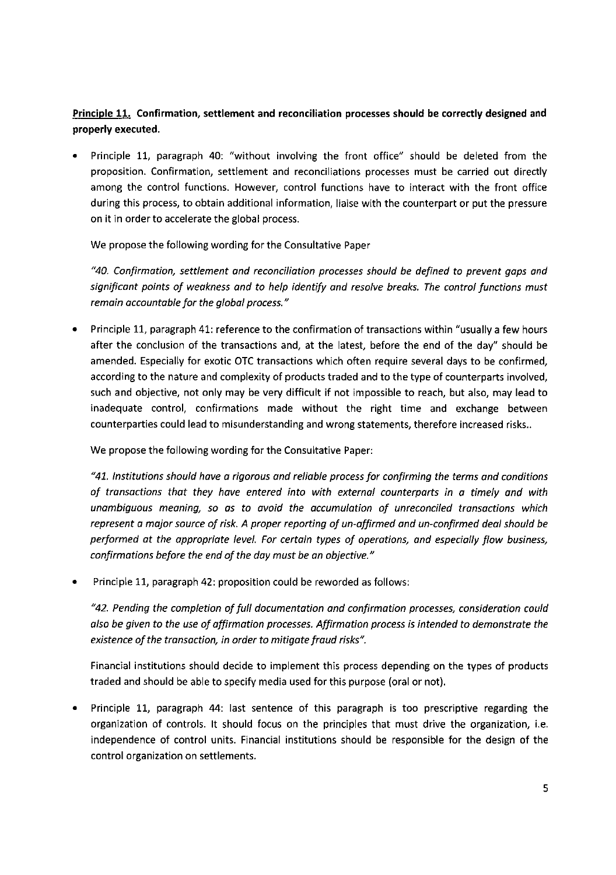# Principle 11. Confirmation, settlement and reconciliation processes should be correctly designed and properly executed.

• Principle 11, paragraph 40: "without involving the front office" should be deleted from the proposition. Confirmation, settlement and reconciliations processes must be carried out directly among the control functions. However, control functions have to interact with the front office during this process, to obtain additional information, liaise with the counterpart or put the pressure on it in order to accelerate the global process.

We propose the following wording for the Consultative Paper

*"40. Confirmation, settlement and reconciliation processes should be defined to prevent gaps and significant points of weakness and to help identify and resolve breaks. The control functions must remain accountable for the global process."*

• Principle 11, paragraph 41: reference to the confirmation of transactions within "usually a few hours after the conclusion of the transactions and, at the latest, before the end of the day" should be amended. Especially for exotic OTC transactions which often require several days to be confirmed, according to the nature and complexity of products traded and to the type of counterparts involved, such and objective, not only may be very difficult if not impossible to reach, but also, may lead to inadequate control, confirmations made without the right time and exchange between counterparties could lead to misunderstanding and wrong statements, therefore increased risks..

We propose the following wording for the Consultative Paper:

*"41. Institutions should have a rigorous and reliable process for confirming the terms and conditions of transactions that they have entered into with external counterparts in a timely and with unambiguous meaning, so as to avoid the accumulation of unreconciled transactions which represent a major source of risk. A proper reporting of un-affirmed and un-confirmed deal should be performed at the appropriate level. For certain types of operations, and especially flow business, confirmations before the end of the day must be an objective."*

• Principle 11, paragraph 42: proposition could be reworded as follows:

*"42. Pending the completion of full documentation and confirmation processes, consideration could also be given to the use of affirmation processes. Affirmation process is intended to demonstrate the existence of the transaction, in order to mitigate fraud risks".*

Financial institutions should decide to implement this process depending on the types of products traded and should be able to specify media used for this purpose (oral or not).

• Principle 11, paragraph 44: last sentence of this paragraph is too prescriptive regarding the organization of controls. It should focus on the principles that must drive the organization, i.e. independence of control units. Financial institutions should be responsible for the design of the control organization on settlements.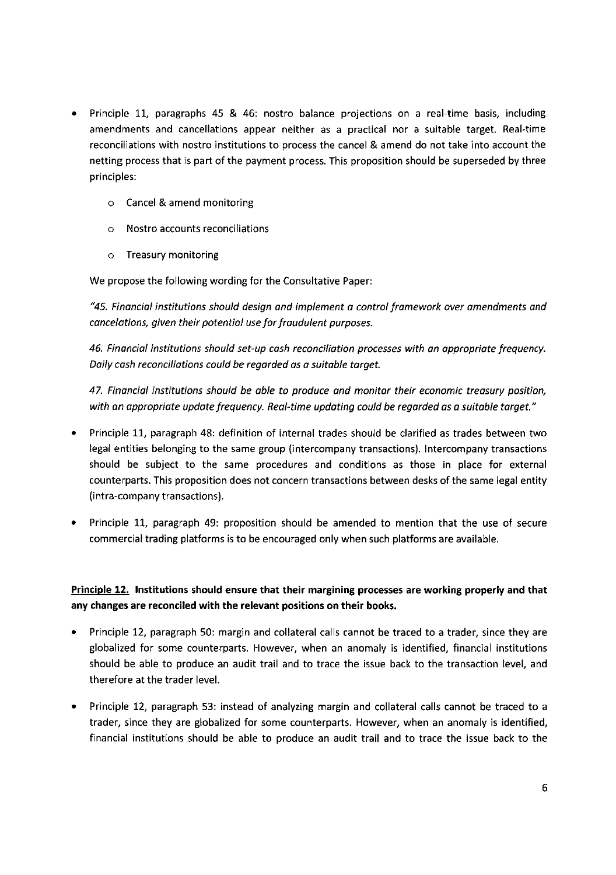- Principle 11, paragraphs 45 & 46: nostro balance projections on a real-time basis, including amendments and cancellations appear neither as a practical nor a suitable target. Real-time reconciliations with nostro institutions to process the cancel & amend do not take into account the netting process that is part of the payment process. This proposition should be superseded by three principles:
	- o Cancel & amend monitoring
	- o Nostro accounts reconciliations
	- o Treasury monitoring

We propose the following wording for the Consultative Paper:

*"45. Financial institutions should design and implement a control framework over amendments and cancelations, given their potential use for fraudulent purposes.*

*46. Financial institutions should set-up cash reconciliation processes with an appropriate frequency. Daily cash reconciliations could be regarded as a suitable target.*

*47. Financial institutions should be able to produce and monitor their economic treasury position, with an appropriate update frequency. Real-time updating could be regarded as a suitable target."*

- Principle 11, paragraph 48: definition of internal trades should be clarified as trades between two legal entities belonging to the same group (intercompany transactions). Intercompany transactions should be subject to the same procedures and conditions as those in place for external counterparts. This proposition does not concern transactions between desks of the same legal entity (intra-company transactions).
- Principle 11, paragraph 49: proposition should be amended to mention that the use of secure commercial trading platforms is to be encouraged only when such platforms are available.

# Principle 12. Institutions should ensure that their margining processes are working properly and that any changes are reconciled with the relevant positions on their books.

- Principle 12, paragraph 50: margin and collateral calls cannot be traced to a trader, since they are globalized for some counterparts. However, when an anomaly is identified, financial institutions should be able to produce an audit trail and to trace the issue back to the transaction level, and therefore at the trader level.
- Principle 12, paragraph 53: instead of analyzing margin and collateral calls cannot be traced to a trader, since they are globalized for some counterparts. However, when an anomaly is identified, financial institutions should be able to produce an audit trail and to trace the issue back to the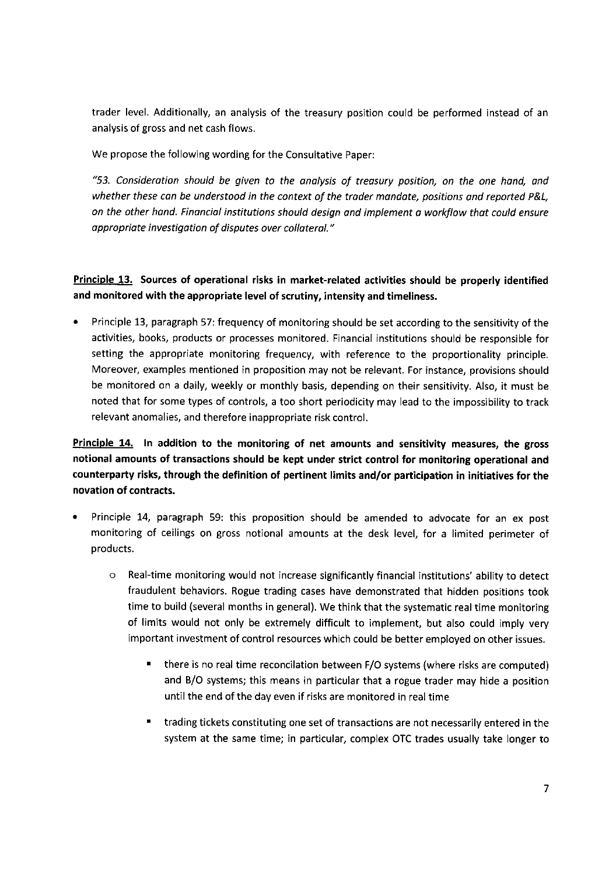trader level. Additionally, an analysis of the treasury position could be performed instead of an analysis of gross and net cash flows.

We propose the following wording for the Consultative Paper:

*"53. Consideration should be given to the analysis of treasury position, on the one hand, and whether these can be understood in the context of the trader mandate, positions and reported P&L, on the other hand. Financial institutions should design and implement a workflow that could ensure appropriate investigation of disputes over collateral."*

### Principle 13. Sources of operational risks in market-related activities should be properly identified and monitored with the appropriate level of scrutiny, intensity and timeliness.

• Principle 13, paragraph 57: frequency of monitoring should be set according to the sensitivity of the activities, books, products or processes monitored. Financial institutions should be responsible for setting the appropriate monitoring frequency, with reference to the proportionality principle. Moreover, examples mentioned in proposition may not be relevant. For instance, provisions should be monitored on a daily, weekly or monthly basis, depending on their sensitivity. Also, it must be noted that for some types of controls, a too short periodicity may lead to the impossibility to track relevant anomalies, and therefore inappropriate risk control.

# Principle 14. In addition to the monitoring of net amounts and sensitivity measures, the gross notional amounts of transactions should be kept under strict control for monitoring operational and counterparty risks, through the definition of pertinent limits and/or participation in initiatives for the novation of contracts.

- Principle 14, paragraph 59: this proposition should be amended to advocate for an ex post monitoring of ceilings on gross notional amounts at the desk level, for a limited perimeter of products.
	- o Real-time monitoring would not increase significantly financial institutions' ability to detect fraudulent behaviors. Rogue trading cases have demonstrated that hidden positions took time to build (several months in general). We think that the systematic real time monitoring of limits would not only be extremely difficult to implement, but also could imply very important investment of control resources which could be better employed on other issues.
		- there is no real time reconcilation between F/O systems (where risks are computed) and B/0 systems; this means in particular that a rogue trader may hide a position until the end of the day even if risks are monitored in real time
		- trading tickets constituting one set of transactions are not necessarily entered in the system at the same time; in particular, complex OTC trades usually take longer to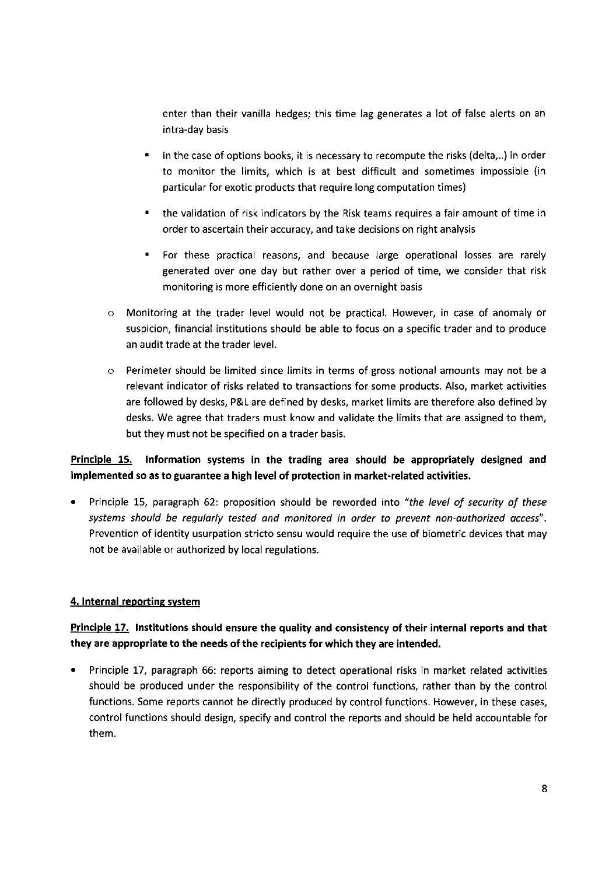enter than their vanilla hedges; this time lag generates a lot of false alerts on an intra-day basis

- in the case of options books, it is necessary to recompute the risks (delta,..) in order to monitor the limits, which is at best difficult and sometimes impossible (in particular for exotic products that require long computation times)
- the validation of risk indicators by the Risk teams requires a fair amount of time in order to ascertain their accuracy, and take decisions on right analysis
- For these practical reasons, and because large operational losses are rarely generated over one day but rather over a period of time, we consider that risk monitoring is more efficiently done on an overnight basis
- o Monitoring at the trader level would not be practical. However, in case of anomaly or suspicion, financial institutions should be able to focus on a specific trader and to produce an audit trade at the trader level.
- Perimeter should be limited since limits in terms of gross notional amounts may not be a relevant indicator of risks related to transactions for some products. Also, market activities are followed by desks, P&L are defined by desks, market limits are therefore also defined by desks. We agree that traders must know and validate the limits that are assigned to them, but they must not be specified on a trader basis.

# Principle 15. Information systems in the trading area should be appropriately designed and implemented so as to guarantee a high level of protection in market-related activities.

• Principle 15, paragraph 62: proposition should be reworded into *"the level of security of these systems should be regularly tested and monitored in order to prevent non-authorized access".* Prevention of identity usurpation stricto sensu would require the use of biometric devices that may not be available or authorized by local regulations.

#### 4. Internal reporting system

# Principle 17. Institutions should ensure the quality and consistency of their internal reports and that they are appropriate to the needs of the recipients for which they are intended.

• Principle 17, paragraph 66: reports aiming to detect operational risks in market related activities should be produced under the responsibility of the control functions, rather than by the control functions. Some reports cannot be directly produced by control functions. However, in these cases, control functions should design, specify and control the reports and should be held accountable for them.